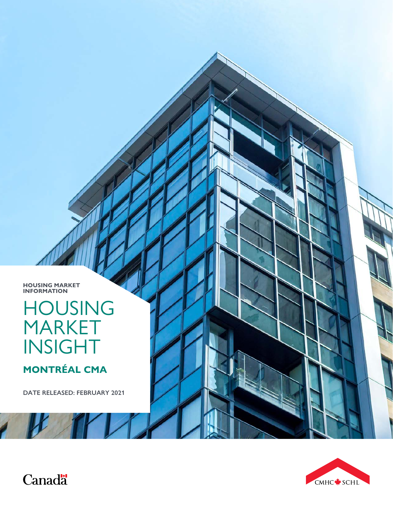



Canadä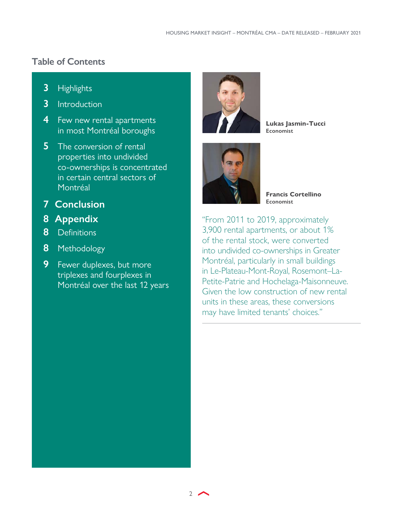### <span id="page-1-0"></span>**Table of Contents**

- **3** [Highlights](#page-2-0)
- **3** [Introduction](#page-2-0)
- **4** Few new rental apartments [in most Montréal boroughs](#page-3-0)
- **5** The conversion of rental [properties into undivided](#page-4-0)  [co-ownerships is concentrated](#page-4-0)  [in certain central sectors of](#page-4-0)  [Montréal](#page-4-0)
- **[7 Conclusion](#page-6-0)**
- **[8 Appendix](#page-7-0)**
- **8** [Definitions](#page-7-0)
- **8** [Methodology](#page-7-0)
- **9** [Fewer duplexes, but more](#page-8-0)  [triplexes and fourplexes in](#page-8-0)  [Montréal over the last 12 years](#page-8-0)



**Lukas Jasmin-Tucci Economist**



**Francis Cortellino Economist**

"From 2011 to 2019, approximately 3,900 rental apartments, or about 1% of the rental stock, were converted into undivided co-ownerships in Greater Montréal, particularly in small buildings in Le-Plateau-Mont-Royal, Rosemont–La-Petite-Patrie and Hochelaga-Maisonneuve. Given the low construction of new rental units in these areas, these conversions may have limited tenants' choices."

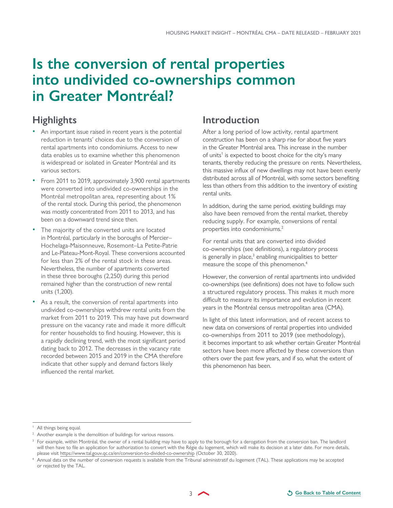## <span id="page-2-0"></span>**Is the conversion of rental properties into undivided co-ownerships common in Greater Montréal?**

### **Highlights**

- An important issue raised in recent years is the potential reduction in tenants' choices due to the conversion of rental apartments into condominiums. Access to new data enables us to examine whether this phenomenon is widespread or isolated in Greater Montréal and its various sectors.
- From 2011 to 2019, approximately 3,900 rental apartments were converted into undivided co-ownerships in the Montréal metropolitan area, representing about 1% of the rental stock. During this period, the phenomenon was mostly concentrated from 2011 to 2013, and has been on a downward trend since then.
- The majority of the converted units are located in Montréal, particularly in the boroughs of Mercier– Hochelaga-Maisonneuve, Rosemont–La Petite-Patrie and Le-Plateau-Mont-Royal. These conversions accounted for less than 2% of the rental stock in these areas. Nevertheless, the number of apartments converted in these three boroughs (2,250) during this period remained higher than the construction of new rental units (1,200).
- As a result, the conversion of rental apartments into undivided co-ownerships withdrew rental units from the market from 2011 to 2019. This may have put downward pressure on the vacancy rate and made it more difficult for renter households to find housing. However, this is a rapidly declining trend, with the most significant period dating back to 2012. The decreases in the vacancy rate recorded between 2015 and 2019 in the CMA therefore indicate that other supply and demand factors likely influenced the rental market.

### **Introduction**

After a long period of low activity, rental apartment construction has been on a sharp rise for about five years in the Greater Montréal area. This increase in the number of units<sup>1</sup> is expected to boost choice for the city's many tenants, thereby reducing the pressure on rents. Nevertheless, this massive influx of new dwellings may not have been evenly distributed across all of Montréal, with some sectors benefiting less than others from this addition to the inventory of existing rental units.

In addition, during the same period, existing buildings may also have been removed from the rental market, thereby reducing supply. For example, conversions of rental properties into condominiums.<sup>2</sup>

For rental units that are converted into divided co-ownerships (see definitions), a regulatory process is generally in place,<sup>3</sup> enabling municipalities to better measure the scope of this phenomenon.4

However, the conversion of rental apartments into undivided co-ownerships (see definitions) does not have to follow such a structured regulatory process. This makes it much more difficult to measure its importance and evolution in recent years in the Montréal census metropolitan area (CMA).

In light of this latest information, and of recent access to new data on conversions of rental properties into undivided co-ownerships from 2011 to 2019 (see methodology), it becomes important to ask whether certain Greater Montréal sectors have been more affected by these conversions than others over the past few years, and if so, what the extent of this phenomenon has been.

<sup>&</sup>lt;sup>1</sup> All things being equal.

<sup>&</sup>lt;sup>2</sup> Another example is the demolition of buildings for various reasons.

<sup>&</sup>lt;sup>3</sup> For example, within Montréal, the owner of a rental building may have to apply to the borough for a derogation from the conversion ban. The landlord will then have to file an application for authorization to convert with the Régie du logement, which will make its decision at a later date. For more details, please visit <https://www.tal.gouv.qc.ca/en/conversion-to-divided-co-ownership> (October 30, 2020).

<sup>4</sup> Annual data on the number of conversion requests is available from the Tribunal administratif du logement (TAL). These applications may be accepted or rejected by the TAL.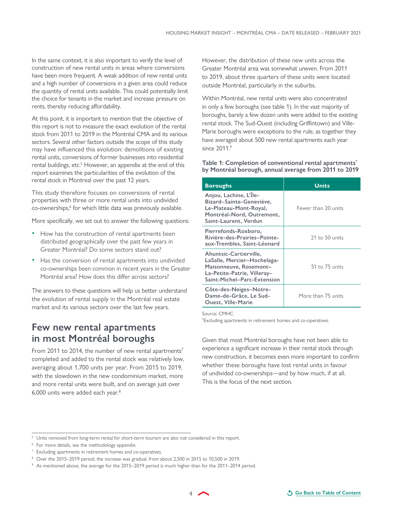<span id="page-3-0"></span>In the same context, it is also important to verify the level of construction of new rental units in areas where conversions have been more frequent. A weak addition of new rental units and a high number of conversions in a given area could reduce the quantity of rental units available. This could potentially limit the choice for tenants in the market and increase pressure on rents, thereby reducing affordability.

At this point, it is important to mention that the objective of this report is not to measure the exact evolution of the rental stock from 2011 to 2019 in the Montréal CMA and its various sectors. Several other factors outside the scope of this study may have influenced this evolution: demolitions of existing rental units, conversions of former businesses into residential rental buildings, etc.<sup>5</sup> However, an appendix at the end of this report examines the particularities of the evolution of the rental stock in Montreal over the past 12 years.

This study therefore focuses on conversions of rental properties with three or more rental units into undivided co-ownerships,<sup>6</sup> for which little data was previously available.

More specifically, we set out to answer the following questions:

- How has the construction of rental apartments been distributed geographically over the past few years in Greater Montréal? Do some sectors stand out?
- Has the conversion of rental apartments into undivided co-ownerships been common in recent years in the Greater Montréal area? How does this differ across sectors?

The answers to these questions will help us better understand the evolution of rental supply in the Montréal real estate market and its various sectors over the last few years.

### **Few new rental apartments in most Montréal boroughs**

From 2011 to 2014, the number of new rental apartments<sup>7</sup> completed and added to the rental stock was relatively low, averaging about 1,700 units per year. From 2015 to 2019, with the slowdown in the new condominium market, more and more rental units were built, and on average just over 6,000 units were added each year.8

However, the distribution of these new units across the Greater Montréal area was somewhat uneven. From 2011 to 2019, about three quarters of these units were located outside Montréal, particularly in the suburbs.

Within Montréal, new rental units were also concentrated in only a few boroughs (see table 1). In the vast majority of boroughs, barely a few dozen units were added to the existing rental stock. The Sud-Ouest (including Griffintown) and Ville-Marie boroughs were exceptions to the rule, as together they have averaged about 500 new rental apartments each year since 2011.9

**Table 1: Completion of conventional rental apartments\* by Montréal borough, annual average from 2011 to 2019**

| <b>Boroughs</b>                                                                                                                               | <b>Units</b>        |
|-----------------------------------------------------------------------------------------------------------------------------------------------|---------------------|
| Anjou, Lachine, L'Île-<br>Bizard-Sainte-Geneviève,<br>Le-Plateau-Mont-Royal,<br>Montréal-Nord, Outremont,<br>Saint-Laurent, Verdun            | Fewer than 20 units |
| Pierrefonds-Roxboro,<br>Rivière-des-Prairies-Pointe-<br>aux-Trembles, Saint-Léonard                                                           | 21 to 50 units      |
| Ahuntsic-Cartierville,<br>LaSalle, Mercier-Hochelaga-<br>Maisonneuve, Rosemont-<br>La-Petite-Patrie, Villeray-<br>Saint-Michel-Parc-Extension | 51 to 75 units      |
| Côte-des-Neiges-Notre-<br>Dame-de-Grâce, Le Sud-<br><b>Ouest, Ville-Marie</b>                                                                 | More than 75 units  |

Source: CMHC

\* Excluding apartments in retirement homes and co-operatives.

Given that most Montréal boroughs have not been able to experience a significant increase in their rental stock through new construction, it becomes even more important to confirm whether these boroughs have lost rental units in favour of undivided co-ownerships—and by how much, if at all. This is the focus of the next section.

<sup>&</sup>lt;sup>5</sup> Units removed from long-term rental for short-term tourism are also not considered in this report.

<sup>&</sup>lt;sup>6</sup> For more details, see the methodology appendix.

<sup>&</sup>lt;sup>7</sup> Excluding apartments in retirement homes and co-operatives.

<sup>8</sup> Over the 2015–2019 period, the increase was gradual, from about 2,500 in 2015 to 10,500 in 2019.

 $^9\,$  As mentioned above, the average for the 2015–2019 period is much higher than for the 2011–2014 period.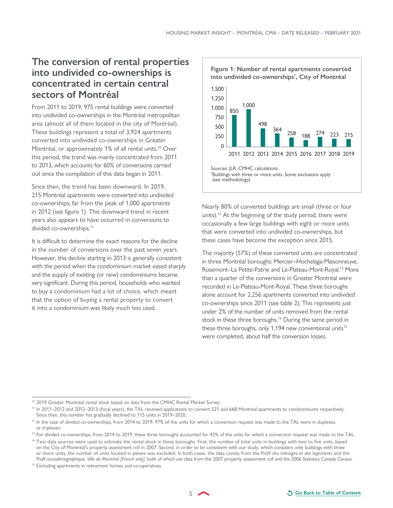### <span id="page-4-0"></span>**The conversion of rental properties into undivided co-ownerships is concentrated in certain central sectors of Montréal**

From 2011 to 2019, 975 rental buildings were converted into undivided co-ownerships in the Montréal metropolitan area (almost all of them located in the city of Montréal). These buildings represent a total of 3,924 apartments converted into undivided co-ownerships in Greater Montréal, or approximately 1% of all rental units.<sup>10</sup> Over this period, the trend was mainly concentrated from 2011 to 2013, which accounts for 60% of conversions carried out since the compilation of this data began in 2011.

Since then, the trend has been downward. In 2019, 215 Montréal apartments were converted into undivided co-ownerships, far from the peak of 1,000 apartments in 2012 (see figure 1). This downward trend in recent years also appears to have occurred in conversions to divided co-ownerships.<sup>11</sup>

It is difficult to determine the exact reasons for the decline in the number of conversions over the past seven years. However, this decline starting in 2013 is generally consistent with the period when the condominium market eased sharply and the supply of existing (or new) condominiums became very significant. During this period, households who wanted to buy a condominium had a lot of choice, which meant that the option of buying a rental property to convert it into a condominium was likely much less used.



Nearly 80% of converted buildings are small (three or four units).<sup>12</sup> At the beginning of the study period, there were occasionally a few large buildings with eight or more units that were converted into undivided co-ownerships, but these cases have become the exception since 2015.

The majority (57%) of these converted units are concentrated in three Montréal boroughs: Mercier–Hochelaga-Maisonneuve, Rosemont–La Petite-Patrie and Le-Plateau-Mont-Royal.13 More than a quarter of the conversions in Greater Montréal were recorded in Le-Plateau-Mont-Royal. These three boroughs alone account for 2,256 apartments converted into undivided co-ownerships since 2011 (see table 2). This represents just under 2% of the number of units removed from the rental stock in these three boroughs.<sup>14</sup> During the same period in these three boroughs, only 1,194 new conventional units<sup>15</sup> were completed, about half the conversion losses.

5

<sup>&</sup>lt;sup>10</sup> 2019 Greater Montréal rental stock based on data from the CMHC Rental Market Survey.

<sup>11</sup> In 2011–2012 and 2012–2013 (fiscal years), the TAL received applications to convert 521 and 668 Montréal apartments to condominiums respectively. Since then, this number has gradually declined to 115 units in 2019–2020.

<sup>&</sup>lt;sup>12</sup> In the case of divided co-ownerships, from 2014 to 2019, 97% of the units for which a conversion request was made to the TAL were in duplexes or triplexes.

<sup>&</sup>lt;sup>13</sup> For divided co-ownerships, from 2014 to 2019, these three boroughs accounted for 42% of the units for which a conversion request was made to the TAL.

<sup>&</sup>lt;sup>14</sup> Two data sources were used to estimate the rental stock in these boroughs. First, the number of total units in buildings with two to five units, based on the City of Montréal's property assessment roll in 2007. Second, in order to be consistent with our study, which considers only buildings with three or more units, the number of units located in plexes was excluded. In both cases, the data comes from the *Profil des ménages et des logements* and the *Profil sociodémographique, Ville de Montréal [French only]*, both of which use data from the 2007 property assessment roll and the 2006 Statistics Canada Census.

<sup>&</sup>lt;sup>15</sup> Excluding apartments in retirement homes and co-operatives.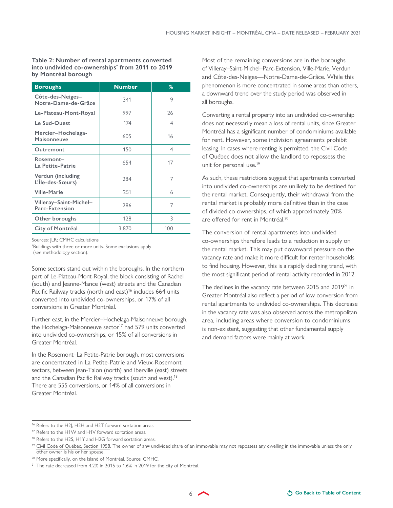**Table 2: Number of rental apartments converted into undivided co-ownerships\* from 2011 to 2019 by Montréal borough**

| <b>Boroughs</b>                          | <b>Number</b> | %   |
|------------------------------------------|---------------|-----|
| Côte-des-Neiges-<br>Notre-Dame-de-Grâce  | 341           | 9   |
| Le-Plateau-Mont-Royal                    | 997           | 26  |
| Le Sud-Ouest                             | 174           | 4   |
| Mercier-Hochelaga-<br><b>Maisonneuve</b> | 605           | 16  |
| Outremont                                | 150           | 4   |
| Rosemont-<br>La Petite-Patrie            | 654           | 17  |
| Verdun (including<br>L'Île-des-Sœurs)    | 284           | 7   |
| <b>Ville-Marie</b>                       | 251           | 6   |
| Villeray-Saint-Michel-<br>Parc-Extension | 286           | 7   |
| Other boroughs                           | 128           | 3   |
| City of Montréal                         | 3,870         | 100 |

Sources: JLR; CMHC calculations

\* Buildings with three or more units. Some exclusions apply (see methodology section).

Some sectors stand out within the boroughs. In the northern part of Le-Plateau-Mont-Royal, the block consisting of Rachel (south) and Jeanne-Mance (west) streets and the Canadian Pacific Railway tracks (north and east)<sup>16</sup> includes 664 units converted into undivided co-ownerships, or 17% of all conversions in Greater Montréal.

Further east, in the Mercier–Hochelaga-Maisonneuve borough, the Hochelaga-Maisonneuve sector<sup>17</sup> had 579 units converted into undivided co-ownerships, or 15% of all conversions in Greater Montréal.

In the Rosemont–La Petite-Patrie borough, most conversions are concentrated in La Petite-Patrie and Vieux-Rosemont sectors, between Jean-Talon (north) and Iberville (east) streets and the Canadian Pacific Railway tracks (south and west).<sup>18</sup> There are 555 conversions, or 14% of all conversions in Greater Montréal.

Most of the remaining conversions are in the boroughs of Villeray–Saint-Michel–Parc-Extension, Ville-Marie, Verdun and Côte-des-Neiges—Notre-Dame-de-Grâce. While this phenomenon is more concentrated in some areas than others, a downward trend over the study period was observed in all boroughs.

Converting a rental property into an undivided co-ownership does not necessarily mean a loss of rental units, since Greater Montréal has a significant number of condominiums available for rent. However, some indivision agreements prohibit leasing. In cases where renting is permitted, the Civil Code of Québec does not allow the landlord to repossess the unit for personal use.19

As such, these restrictions suggest that apartments converted into undivided co-ownerships are unlikely to be destined for the rental market. Consequently, their withdrawal from the rental market is probably more definitive than in the case of divided co-ownerships, of which approximately 20% are offered for rent in Montréal.<sup>20</sup>

The conversion of rental apartments into undivided co-ownerships therefore leads to a reduction in supply on the rental market. This may put downward pressure on the vacancy rate and make it more difficult for renter households to find housing. However, this is a rapidly declining trend, with the most significant period of rental activity recorded in 2012.

The declines in the vacancy rate between 2015 and 2019<sup>21</sup> in Greater Montréal also reflect a period of low conversion from rental apartments to undivided co-ownerships. This decrease in the vacancy rate was also observed across the metropolitan area, including areas where conversion to condominiums is non-existent, suggesting that other fundamental supply and demand factors were mainly at work.

<sup>16</sup> Refers to the H2J, H2H and H2T forward sortation areas.

<sup>&</sup>lt;sup>17</sup> Refers to the H1W and H1V forward sortation areas.

<sup>&</sup>lt;sup>18</sup> Refers to the H2S, H1Y and H2G forward sortation areas.

<sup>&</sup>lt;sup>19</sup> [Civil Code of Québec, Section 1958.](http://legisquebec.gouv.qc.ca/en/showdoc/cs/ccq-1991/20020624#se:1958) The owner of an= undivided share of an immovable may not repossess any dwelling in the immovable unless the only other owner is his or her spouse.

<sup>&</sup>lt;sup>20</sup> More specifically, on the Island of Montréal. Source: CMHC.

<sup>&</sup>lt;sup>21</sup> The rate decreased from 4.2% in 2015 to 1.6% in 2019 for the city of Montréal.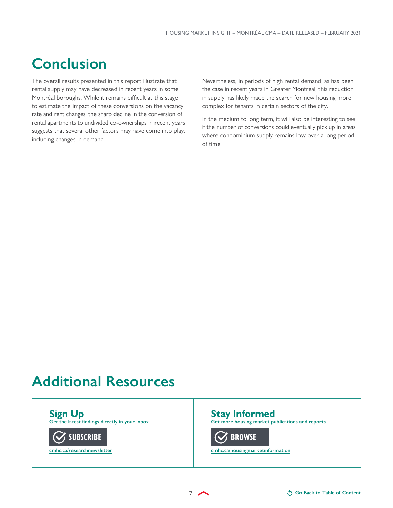## <span id="page-6-0"></span>**Conclusion**

The overall results presented in this report illustrate that rental supply may have decreased in recent years in some Montréal boroughs. While it remains difficult at this stage to estimate the impact of these conversions on the vacancy rate and rent changes, the sharp decline in the conversion of rental apartments to undivided co-ownerships in recent years suggests that several other factors may have come into play, including changes in demand.

Nevertheless, in periods of high rental demand, as has been the case in recent years in Greater Montréal, this reduction in supply has likely made the search for new housing more complex for tenants in certain sectors of the city.

In the medium to long term, it will also be interesting to see if the number of conversions could eventually pick up in areas where condominium supply remains low over a long period of time.

## **Additional Resources**

**Sign Up**

**Get the latest findings directly in your inbox**



**[cmhc.ca/researchnewsletter](https://www.cmhc-schl.gc.ca/en/cmhc-enewsletters/housing-research/subscribe)**

**Stay Informed**

**Get more housing market publications and reports**

**[BROWSE](https://www.cmhc-schl.gc.ca/en/data-and-research)**

**[cmhc.ca/housingmarketinformation](https://www.cmhc-schl.gc.ca/en/data-and-research)**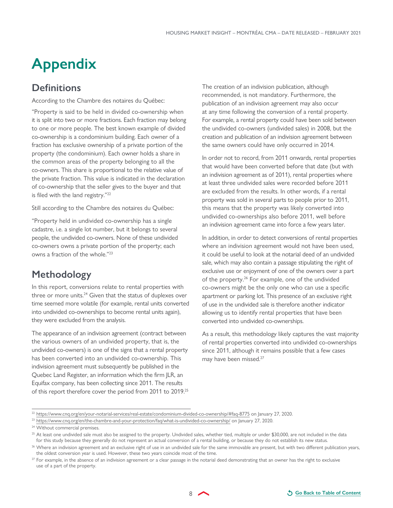# <span id="page-7-0"></span>**Appendix**

### **Definitions**

According to the Chambre des notaires du Québec:

"Property is said to be held in divided co-ownership when it is split into two or more fractions. Each fraction may belong to one or more people. The best known example of divided co-ownership is a condominium building. Each owner of a fraction has exclusive ownership of a private portion of the property (the condominium). Each owner holds a share in the common areas of the property belonging to all the co-owners. This share is proportional to the relative value of the private fraction. This value is indicated in the declaration of co-ownership that the seller gives to the buyer and that is filed with the land registry."22

Still according to the Chambre des notaires du Québec:

"Property held in undivided co-ownership has a single cadastre, i.e. a single lot number, but it belongs to several people, the undivided co-owners. None of these undivided co-owners owns a private portion of the property; each owns a fraction of the whole."23

### **Methodology**

In this report, conversions relate to rental properties with three or more units. $24$  Given that the status of duplexes over time seemed more volatile (for example, rental units converted into undivided co-ownerships to become rental units again), they were excluded from the analysis.

The appearance of an indivision agreement (contract between the various owners of an undivided property, that is, the undivided co-owners) is one of the signs that a rental property has been converted into an undivided co-ownership. This indivision agreement must subsequently be published in the Quebec Land Register, an information which the firm JLR, an Equifax company, has been collecting since 2011. The results of this report therefore cover the period from 2011 to 2019.25 The creation of an indivision publication, although recommended, is not mandatory. Furthermore, the publication of an indivision agreement may also occur at any time following the conversion of a rental property. For example, a rental property could have been sold between the undivided co-owners (undivided sales) in 2008, but the creation and publication of an indivision agreement between the same owners could have only occurred in 2014.

In order not to record, from 2011 onwards, rental properties that would have been converted before that date (but with an indivision agreement as of 2011), rental properties where at least three undivided sales were recorded before 2011 are excluded from the results. In other words, if a rental property was sold in several parts to people prior to 2011, this means that the property was likely converted into undivided co-ownerships also before 2011, well before an indivision agreement came into force a few years later.

In addition, in order to detect conversions of rental properties where an indivision agreement would not have been used, it could be useful to look at the notarial deed of an undivided sale, which may also contain a passage stipulating the right of exclusive use or enjoyment of one of the owners over a part of the property.26 For example, one of the undivided co-owners might be the only one who can use a specific apartment or parking lot. This presence of an exclusive right of use in the undivided sale is therefore another indicator allowing us to identify rental properties that have been converted into undivided co-ownerships.

As a result, this methodology likely captures the vast majority of rental properties converted into undivided co-ownerships since 2011, although it remains possible that a few cases may have been missed.<sup>27</sup>

<sup>22</sup> <https://www.cnq.org/en/your-notarial-services/real-estate/condominium-divided-co-ownership/#faq-8775> on January 27, 2020.

<sup>23</sup> <https://www.cnq.org/en/the-chambre-and-your-protection/faq/what-is-undivided-co-ownership/>on January 27, 2020.

<sup>&</sup>lt;sup>24</sup> Without commercial premises.

<sup>&</sup>lt;sup>25</sup> At least one undivided sale must also be assigned to the property. Undivided sales, whether tied, multiple or under \$30,000, are not included in the data for this study because they generally do not represent an actual conversion of a rental building, or because they do not establish its new status.

<sup>&</sup>lt;sup>26</sup> Where an indivision agreement and an exclusive right of use in an undivided sale for the same immovable are present, but with two different publication years, the oldest conversion year is used. However, these two years coincide most of the time.

 $27$  For example, in the absence of an indivision agreement or a clear passage in the notarial deed demonstrating that an owner has the right to exclusive use of a part of the property.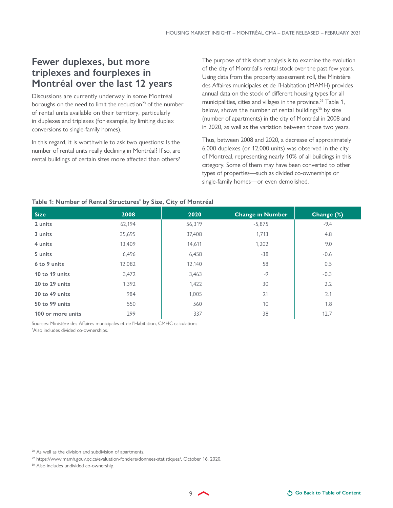### <span id="page-8-0"></span>**Fewer duplexes, but more triplexes and fourplexes in Montréal over the last 12 years**

Discussions are currently underway in some Montréal boroughs on the need to limit the reduction<sup>28</sup> of the number of rental units available on their territory, particularly in duplexes and triplexes (for example, by limiting duplex conversions to single-family homes).

In this regard, it is worthwhile to ask two questions: Is the number of rental units really declining in Montréal? If so, are rental buildings of certain sizes more affected than others? The purpose of this short analysis is to examine the evolution of the city of Montréal's rental stock over the past few years. Using data from the property assessment roll, the Ministère des Affaires municipales et de l'Habitation (MAMH) provides annual data on the stock of different housing types for all municipalities, cities and villages in the province.<sup>29</sup> Table 1, below, shows the number of rental buildings<sup>30</sup> by size (number of apartments) in the city of Montréal in 2008 and in 2020, as well as the variation between those two years.

Thus, between 2008 and 2020, a decrease of approximately 6,000 duplexes (or 12,000 units) was observed in the city of Montréal, representing nearly 10% of all buildings in this category. Some of them may have been converted to other types of properties—such as divided co-ownerships or single-family homes—or even demolished.

| <b>Size</b>       | 2008   | 2020   | <b>Change in Number</b> | Change (%) |
|-------------------|--------|--------|-------------------------|------------|
| 2 units           | 62,194 | 56,319 | $-5,875$                | $-9.4$     |
| 3 units           | 35,695 | 37,408 | 1,713                   | 4.8        |
| 4 units           | 13,409 | 14,611 | 1,202                   | 9.0        |
| 5 units           | 6,496  | 6,458  | $-38$                   | $-0.6$     |
| 6 to 9 units      | 12,082 | 12,140 | 58                      | 0.5        |
| 10 to 19 units    | 3,472  | 3,463  | $-9$                    | $-0.3$     |
| 20 to 29 units    | 1,392  | 1,422  | 30                      | 2.2        |
| 30 to 49 units    | 984    | 1,005  | 21                      | 2.1        |
| 50 to 99 units    | 550    | 560    | 10                      | 1.8        |
| 100 or more units | 299    | 337    | 38                      | 12.7       |

#### **Table 1: Number of Rental Structures\* by Size, City of Montréal**

Sources: Ministère des Affaires municipales et de l'Habitation, CMHC calculations

\* Also includes divided co-ownerships.

<sup>&</sup>lt;sup>28</sup> As well as the division and subdivision of apartments.

<sup>29</sup> <https://www.mamh.gouv.qc.ca/evaluation-fonciere/donnees-statistiques/>, October 16, 2020.

<sup>30</sup> Also includes undivided co-ownership.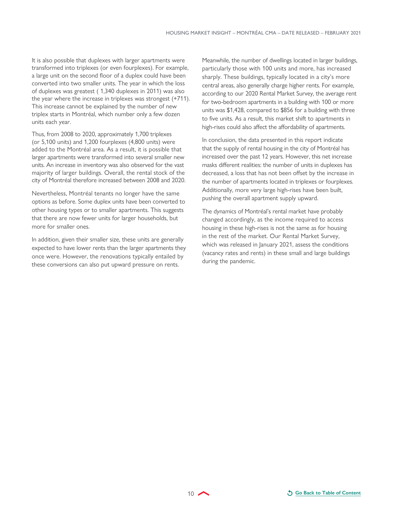It is also possible that duplexes with larger apartments were transformed into triplexes (or even fourplexes). For example, a large unit on the second floor of a duplex could have been converted into two smaller units. The year in which the loss of duplexes was greatest ( 1,340 duplexes in 2011) was also the year where the increase in triplexes was strongest (+711). This increase cannot be explained by the number of new triplex starts in Montréal, which number only a few dozen units each year.

Thus, from 2008 to 2020, approximately 1,700 triplexes (or 5,100 units) and 1,200 fourplexes (4,800 units) were added to the Montréal area. As a result, it is possible that larger apartments were transformed into several smaller new units. An increase in inventory was also observed for the vast majority of larger buildings. Overall, the rental stock of the city of Montréal therefore increased between 2008 and 2020.

Nevertheless, Montréal tenants no longer have the same options as before. Some duplex units have been converted to other housing types or to smaller apartments. This suggests that there are now fewer units for larger households, but more for smaller ones.

In addition, given their smaller size, these units are generally expected to have lower rents than the larger apartments they once were. However, the renovations typically entailed by these conversions can also put upward pressure on rents.

Meanwhile, the number of dwellings located in larger buildings, particularly those with 100 units and more, has increased sharply. These buildings, typically located in a city's more central areas, also generally charge higher rents. For example, according to our 2020 Rental Market Survey, the average rent for two-bedroom apartments in a building with 100 or more units was \$1,428, compared to \$856 for a building with three to five units. As a result, this market shift to apartments in high-rises could also affect the affordability of apartments.

In conclusion, the data presented in this report indicate that the supply of rental housing in the city of Montréal has increased over the past 12 years. However, this net increase masks different realities: the number of units in duplexes has decreased, a loss that has not been offset by the increase in the number of apartments located in triplexes or fourplexes. Additionally, more very large high-rises have been built, pushing the overall apartment supply upward.

The dynamics of Montréal's rental market have probably changed accordingly, as the income required to access housing in these high-rises is not the same as for housing in the rest of the market. Our Rental Market Survey, which was released in January 2021, assess the conditions (vacancy rates and rents) in these small and large buildings during the pandemic.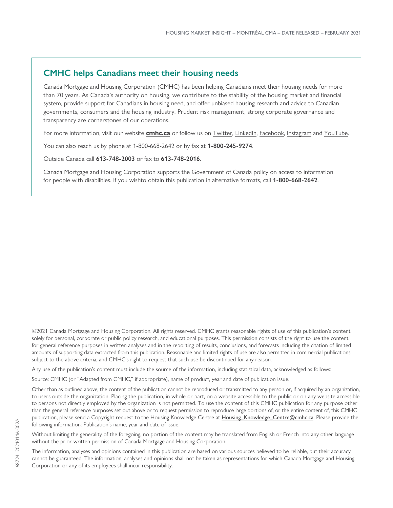### **CMHC helps Canadians meet their housing needs**

Canada Mortgage and Housing Corporation (CMHC) has been helping Canadians meet their housing needs for more than 70 years. As Canada's authority on housing, we contribute to the stability of the housing market and financial system, provide support for Canadians in housing need, and offer unbiased housing research and advice to Canadian governments, consumers and the housing industry. Prudent risk management, strong corporate governance and transparency are cornerstones of our operations.

For more information, visit our website **[cmhc.ca](https://www.cmhc-schl.gc.ca/en)** or follow us on [Twitter,](http://www.twitter.com/CMHC_ca) [LinkedIn,](http://www.linkedin.com/company/canada-mortgage-and-housing-corporation) [Facebook](https://www.facebook.com/cmhc.schl), [Instagram](https://www.instagram.com/cmhc_schl/) and [YouTube](http://www.youtube.com/CMHCca).

You can also reach us by phone at 1-800-668-2642 or by fax at **1-800-245-9274**.

Outside Canada call **613-748-2003** or fax to **613-748-2016**.

Canada Mortgage and Housing Corporation supports the Government of Canada policy on access to information for people with disabilities. If you wishto obtain this publication in alternative formats, call **1-800-668-2642**.

©2021 Canada Mortgage and Housing Corporation. All rights reserved. CMHC grants reasonable rights of use of this publication's content solely for personal, corporate or public policy research, and educational purposes. This permission consists of the right to use the content for general reference purposes in written analyses and in the reporting of results, conclusions, and forecasts including the citation of limited amounts of supporting data extracted from this publication. Reasonable and limited rights of use are also permitted in commercial publications subject to the above criteria, and CMHC's right to request that such use be discontinued for any reason.

Any use of the publication's content must include the source of the information, including statistical data, acknowledged as follows:

Source: CMHC (or "Adapted from CMHC," if appropriate), name of product, year and date of publication issue.

Other than as outlined above, the content of the publication cannot be reproduced or transmitted to any person or, if acquired by an organization, to users outside the organization. Placing the publication, in whole or part, on a website accessible to the public or on any website accessible to persons not directly employed by the organization is not permitted. To use the content of this CMHC publication for any purpose other than the general reference purposes set out above or to request permission to reproduce large portions of, or the entire content of, this CMHC publication, please send a Copyright request to the Housing Knowledge Centre at [Housing\\_Knowledge\\_Centre@cmhc.ca](mailto:Housing_Knowledge_Centre@cmhc.ca). Please provide the following information: Publication's name, year and date of issue.

Without limiting the generality of the foregoing, no portion of the content may be translated from English or French into any other language without the prior written permission of Canada Mortgage and Housing Corporation.

The information, analyses and opinions contained in this publication are based on various sources believed to be reliable, but their accuracy cannot be guaranteed. The information, analyses and opinions shall not be taken as representations for which Canada Mortgage and Housing Corporation or any of its employees shall incur responsibility.